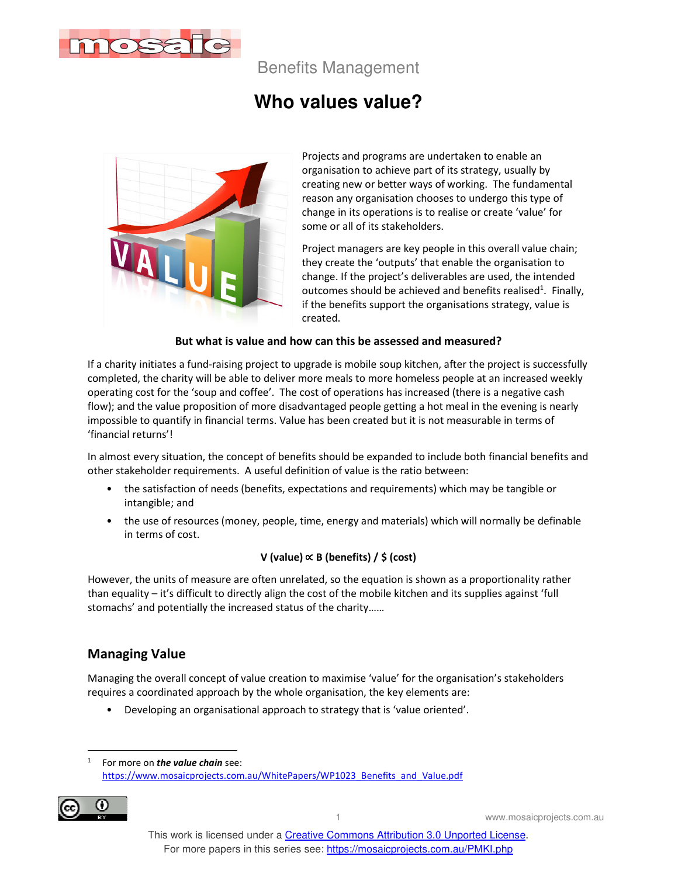

Benefits Management

# **Who values value?**



Projects and programs are undertaken to enable an organisation to achieve part of its strategy, usually by creating new or better ways of working. The fundamental reason any organisation chooses to undergo this type of change in its operations is to realise or create 'value' for some or all of its stakeholders.

Project managers are key people in this overall value chain; they create the 'outputs' that enable the organisation to change. If the project's deliverables are used, the intended outcomes should be achieved and benefits realised<sup>1</sup>. Finally, if the benefits support the organisations strategy, value is created.

#### **But what is value and how can this be assessed and measured?**

If a charity initiates a fund-raising project to upgrade is mobile soup kitchen, after the project is successfully completed, the charity will be able to deliver more meals to more homeless people at an increased weekly operating cost for the 'soup and coffee'. The cost of operations has increased (there is a negative cash flow); and the value proposition of more disadvantaged people getting a hot meal in the evening is nearly impossible to quantify in financial terms. Value has been created but it is not measurable in terms of 'financial returns'!

In almost every situation, the concept of benefits should be expanded to include both financial benefits and other stakeholder requirements. A useful definition of value is the ratio between:

- the satisfaction of needs (benefits, expectations and requirements) which may be tangible or intangible; and
- the use of resources (money, people, time, energy and materials) which will normally be definable in terms of cost.

#### **V (value)** ∝ **B (benefits) / \$ (cost)**

However, the units of measure are often unrelated, so the equation is shown as a proportionality rather than equality – it's difficult to directly align the cost of the mobile kitchen and its supplies against 'full stomachs' and potentially the increased status of the charity……

### **Managing Value**

Managing the overall concept of value creation to maximise 'value' for the organisation's stakeholders requires a coordinated approach by the whole organisation, the key elements are:

• Developing an organisational approach to strategy that is 'value oriented'.

<sup>1</sup> For more on *the value chain* see: https://www.mosaicprojects.com.au/WhitePapers/WP1023\_Benefits\_and\_Value.pdf



1 www.mosaicprojects.com.au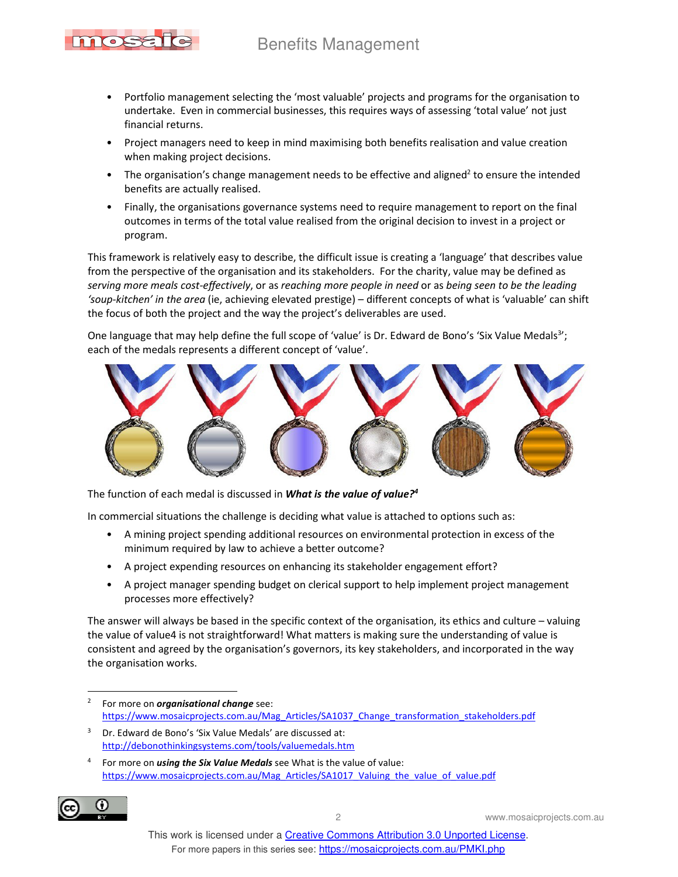# Benefits Management



- Portfolio management selecting the 'most valuable' projects and programs for the organisation to undertake. Even in commercial businesses, this requires ways of assessing 'total value' not just financial returns.
- Project managers need to keep in mind maximising both benefits realisation and value creation when making project decisions.
- The organisation's change management needs to be effective and aligned<sup>2</sup> to ensure the intended benefits are actually realised.
- Finally, the organisations governance systems need to require management to report on the final outcomes in terms of the total value realised from the original decision to invest in a project or program.

This framework is relatively easy to describe, the difficult issue is creating a 'language' that describes value from the perspective of the organisation and its stakeholders. For the charity, value may be defined as *serving more meals cost-effectively*, or as *reaching more people in need* or as *being seen to be the leading 'soup-kitchen' in the area* (ie, achieving elevated prestige) – different concepts of what is 'valuable' can shift the focus of both the project and the way the project's deliverables are used.

One language that may help define the full scope of 'value' is Dr. Edward de Bono's 'Six Value Medals<sup>3</sup>'; each of the medals represents a different concept of 'value'.



The function of each medal is discussed in *What is the value of value?<sup>4</sup>*

In commercial situations the challenge is deciding what value is attached to options such as:

- A mining project spending additional resources on environmental protection in excess of the minimum required by law to achieve a better outcome?
- A project expending resources on enhancing its stakeholder engagement effort?
- A project manager spending budget on clerical support to help implement project management processes more effectively?

The answer will always be based in the specific context of the organisation, its ethics and culture – valuing the value of value4 is not straightforward! What matters is making sure the understanding of value is consistent and agreed by the organisation's governors, its key stakeholders, and incorporated in the way the organisation works.

<sup>4</sup> For more on *using the Six Value Medals* see What is the value of value: https://www.mosaicprojects.com.au/Mag\_Articles/SA1017\_Valuing\_the\_value\_of\_value.pdf



2 www.mosaicprojects.com.au

<sup>2</sup> For more on *organisational change* see: https://www.mosaicprojects.com.au/Mag\_Articles/SA1037\_Change\_transformation\_stakeholders.pdf

<sup>3</sup> Dr. Edward de Bono's 'Six Value Medals' are discussed at: http://debonothinkingsystems.com/tools/valuemedals.htm